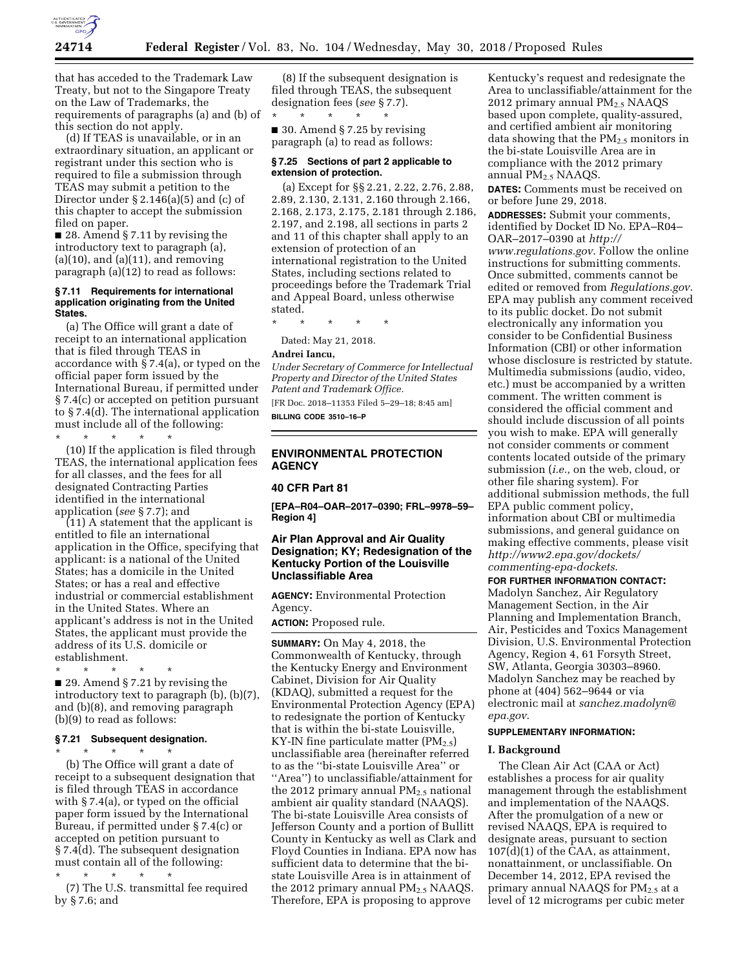

that has acceded to the Trademark Law Treaty, but not to the Singapore Treaty on the Law of Trademarks, the requirements of paragraphs (a) and (b) of this section do not apply.

(d) If TEAS is unavailable, or in an extraordinary situation, an applicant or registrant under this section who is required to file a submission through TEAS may submit a petition to the Director under  $\S 2.146(a)(5)$  and (c) of this chapter to accept the submission filed on paper.

■ 28. Amend § 7.11 by revising the introductory text to paragraph (a),  $(a)(10)$ , and  $(a)(11)$ , and removing paragraph (a)(12) to read as follows:

### **§ 7.11 Requirements for international application originating from the United States.**

(a) The Office will grant a date of receipt to an international application that is filed through TEAS in accordance with § 7.4(a), or typed on the official paper form issued by the International Bureau, if permitted under § 7.4(c) or accepted on petition pursuant to § 7.4(d). The international application must include all of the following:

\* \* \* \* \* (10) If the application is filed through TEAS, the international application fees for all classes, and the fees for all designated Contracting Parties identified in the international application (*see* § 7.7); and

(11) A statement that the applicant is entitled to file an international application in the Office, specifying that applicant: is a national of the United States; has a domicile in the United States; or has a real and effective industrial or commercial establishment in the United States. Where an applicant's address is not in the United States, the applicant must provide the address of its U.S. domicile or establishment.

\* \* \* \* \* ■ 29. Amend § 7.21 by revising the introductory text to paragraph (b), (b)(7), and (b)(8), and removing paragraph (b)(9) to read as follows:

#### **§ 7.21 Subsequent designation.**  \* \* \* \* \*

(b) The Office will grant a date of receipt to a subsequent designation that is filed through TEAS in accordance with § 7.4(a), or typed on the official paper form issued by the International Bureau, if permitted under § 7.4(c) or accepted on petition pursuant to § 7.4(d). The subsequent designation must contain all of the following:

\* \* \* \* \* (7) The U.S. transmittal fee required by § 7.6; and

(8) If the subsequent designation is filed through TEAS, the subsequent designation fees (*see* § 7.7).  $\star$   $\qquad$   $\star$   $\qquad$   $\star$ 

■ 30. Amend § 7.25 by revising paragraph (a) to read as follows:

### **§ 7.25 Sections of part 2 applicable to extension of protection.**

(a) Except for §§ 2.21, 2.22, 2.76, 2.88, 2.89, 2.130, 2.131, 2.160 through 2.166, 2.168, 2.173, 2.175, 2.181 through 2.186, 2.197, and 2.198, all sections in parts 2 and 11 of this chapter shall apply to an extension of protection of an international registration to the United States, including sections related to proceedings before the Trademark Trial and Appeal Board, unless otherwise stated.

\* \* \* \* \*

Dated: May 21, 2018.

## **Andrei Iancu,**

*Under Secretary of Commerce for Intellectual Property and Director of the United States Patent and Trademark Office.* 

[FR Doc. 2018–11353 Filed 5–29–18; 8:45 am] **BILLING CODE 3510–16–P** 

## **ENVIRONMENTAL PROTECTION AGENCY**

### **40 CFR Part 81**

**[EPA–R04–OAR–2017–0390; FRL–9978–59– Region 4]** 

## **Air Plan Approval and Air Quality Designation; KY; Redesignation of the Kentucky Portion of the Louisville Unclassifiable Area**

**AGENCY:** Environmental Protection Agency.

**ACTION:** Proposed rule.

**SUMMARY:** On May 4, 2018, the Commonwealth of Kentucky, through the Kentucky Energy and Environment Cabinet, Division for Air Quality (KDAQ), submitted a request for the Environmental Protection Agency (EPA) to redesignate the portion of Kentucky that is within the bi-state Louisville, KY-IN fine particulate matter  $(PM_{2.5})$ unclassifiable area (hereinafter referred to as the ''bi-state Louisville Area'' or ''Area'') to unclassifiable/attainment for the 2012 primary annual  $PM_{2.5}$  national ambient air quality standard (NAAQS). The bi-state Louisville Area consists of Jefferson County and a portion of Bullitt County in Kentucky as well as Clark and Floyd Counties in Indiana. EPA now has sufficient data to determine that the bistate Louisville Area is in attainment of the 2012 primary annual  $PM_{2.5}$  NAAQS. Therefore, EPA is proposing to approve

Kentucky's request and redesignate the Area to unclassifiable/attainment for the 2012 primary annual  $PM_{2.5}$  NAAQS based upon complete, quality-assured, and certified ambient air monitoring data showing that the PM2.5 monitors in the bi-state Louisville Area are in compliance with the 2012 primary annual PM2.5 NAAQS.

**DATES:** Comments must be received on or before June 29, 2018.

**ADDRESSES:** Submit your comments, identified by Docket ID No. EPA–R04– OAR–2017–0390 at *[http://](http://www.regulations.gov)*

*[www.regulations.gov](http://www.regulations.gov)*. Follow the online instructions for submitting comments. Once submitted, comments cannot be edited or removed from *Regulations.gov*. EPA may publish any comment received to its public docket. Do not submit electronically any information you consider to be Confidential Business Information (CBI) or other information whose disclosure is restricted by statute. Multimedia submissions (audio, video, etc.) must be accompanied by a written comment. The written comment is considered the official comment and should include discussion of all points you wish to make. EPA will generally not consider comments or comment contents located outside of the primary submission (*i.e.,* on the web, cloud, or other file sharing system). For additional submission methods, the full EPA public comment policy, information about CBI or multimedia submissions, and general guidance on making effective comments, please visit *[http://www2.epa.gov/dockets/](http://www2.epa.gov/dockets/commenting-epa-dockets)  [commenting-epa-dockets](http://www2.epa.gov/dockets/commenting-epa-dockets)*.

**FOR FURTHER INFORMATION CONTACT:**  Madolyn Sanchez, Air Regulatory Management Section, in the Air Planning and Implementation Branch, Air, Pesticides and Toxics Management Division, U.S. Environmental Protection Agency, Region 4, 61 Forsyth Street, SW, Atlanta, Georgia 30303–8960. Madolyn Sanchez may be reached by phone at (404) 562–9644 or via electronic mail at *[sanchez.madolyn@](mailto:sanchez.madolyn@epa.gov) [epa.gov](mailto:sanchez.madolyn@epa.gov)*.

## **SUPPLEMENTARY INFORMATION:**

#### **I. Background**

The Clean Air Act (CAA or Act) establishes a process for air quality management through the establishment and implementation of the NAAQS. After the promulgation of a new or revised NAAQS, EPA is required to designate areas, pursuant to section 107(d)(1) of the CAA, as attainment, nonattainment, or unclassifiable. On December 14, 2012, EPA revised the primary annual NAAQS for  $PM_{2.5}$  at a level of 12 micrograms per cubic meter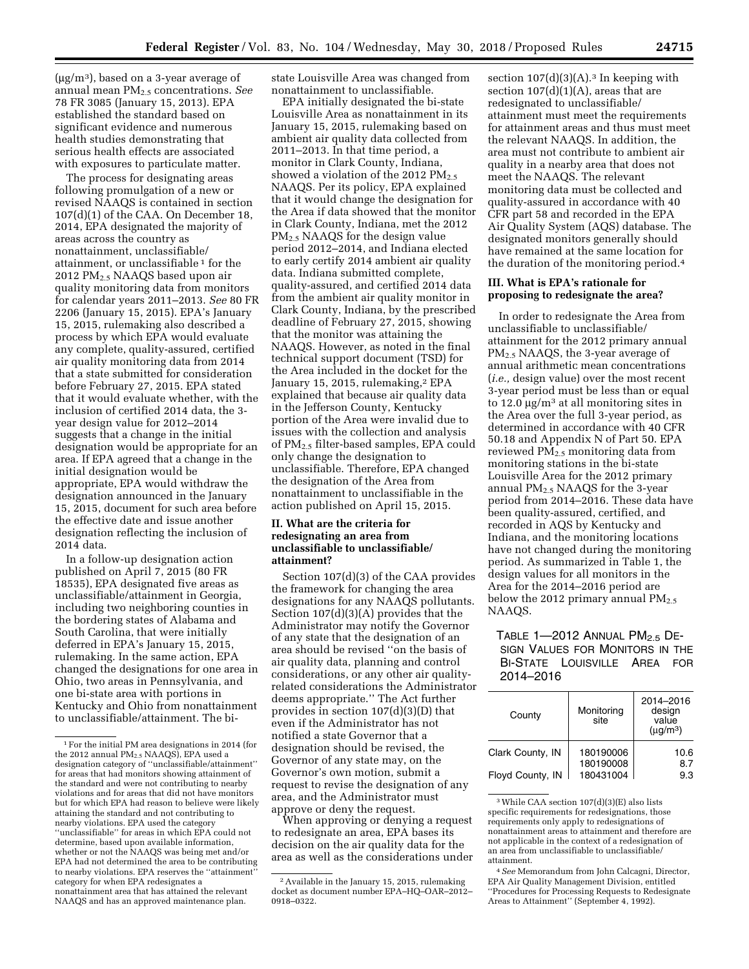$(\mu g/m^3)$ , based on a 3-year average of annual mean PM2.5 concentrations. *See*  78 FR 3085 (January 15, 2013). EPA established the standard based on significant evidence and numerous health studies demonstrating that serious health effects are associated with exposures to particulate matter.

The process for designating areas following promulgation of a new or revised NAAQS is contained in section 107(d)(1) of the CAA. On December 18, 2014, EPA designated the majority of areas across the country as nonattainment, unclassifiable/ attainment, or unclassifiable 1 for the 2012 PM2.5 NAAQS based upon air quality monitoring data from monitors for calendar years 2011–2013. *See* 80 FR 2206 (January 15, 2015). EPA's January 15, 2015, rulemaking also described a process by which EPA would evaluate any complete, quality-assured, certified air quality monitoring data from 2014 that a state submitted for consideration before February 27, 2015. EPA stated that it would evaluate whether, with the inclusion of certified 2014 data, the 3 year design value for 2012–2014 suggests that a change in the initial designation would be appropriate for an area. If EPA agreed that a change in the initial designation would be appropriate, EPA would withdraw the designation announced in the January 15, 2015, document for such area before the effective date and issue another designation reflecting the inclusion of 2014 data.

In a follow-up designation action published on April 7, 2015 (80 FR 18535), EPA designated five areas as unclassifiable/attainment in Georgia, including two neighboring counties in the bordering states of Alabama and South Carolina, that were initially deferred in EPA's January 15, 2015, rulemaking. In the same action, EPA changed the designations for one area in Ohio, two areas in Pennsylvania, and one bi-state area with portions in Kentucky and Ohio from nonattainment to unclassifiable/attainment. The bistate Louisville Area was changed from nonattainment to unclassifiable.

EPA initially designated the bi-state Louisville Area as nonattainment in its January 15, 2015, rulemaking based on ambient air quality data collected from 2011–2013. In that time period, a monitor in Clark County, Indiana, showed a violation of the 2012  $PM_{2.5}$ NAAQS. Per its policy, EPA explained that it would change the designation for the Area if data showed that the monitor in Clark County, Indiana, met the 2012 PM2.5 NAAQS for the design value period 2012–2014, and Indiana elected to early certify 2014 ambient air quality data. Indiana submitted complete, quality-assured, and certified 2014 data from the ambient air quality monitor in Clark County, Indiana, by the prescribed deadline of February 27, 2015, showing that the monitor was attaining the NAAQS. However, as noted in the final technical support document (TSD) for the Area included in the docket for the January 15, 2015, rulemaking,<sup>2</sup> EPA explained that because air quality data in the Jefferson County, Kentucky portion of the Area were invalid due to issues with the collection and analysis of PM2.5 filter-based samples, EPA could only change the designation to unclassifiable. Therefore, EPA changed the designation of the Area from nonattainment to unclassifiable in the action published on April 15, 2015.

# **II. What are the criteria for redesignating an area from unclassifiable to unclassifiable/ attainment?**

Section 107(d)(3) of the CAA provides the framework for changing the area designations for any NAAQS pollutants. Section 107(d)(3)(A) provides that the Administrator may notify the Governor of any state that the designation of an area should be revised ''on the basis of air quality data, planning and control considerations, or any other air qualityrelated considerations the Administrator deems appropriate.'' The Act further provides in section 107(d)(3)(D) that even if the Administrator has not notified a state Governor that a designation should be revised, the Governor of any state may, on the Governor's own motion, submit a request to revise the designation of any area, and the Administrator must approve or deny the request.

When approving or denying a request to redesignate an area, EPA bases its decision on the air quality data for the area as well as the considerations under

section  $107(d)(3)(A).$ <sup>3</sup> In keeping with section  $107(d)(1)(A)$ , areas that are redesignated to unclassifiable/ attainment must meet the requirements for attainment areas and thus must meet the relevant NAAQS. In addition, the area must not contribute to ambient air quality in a nearby area that does not meet the NAAQS. The relevant monitoring data must be collected and quality-assured in accordance with 40 CFR part 58 and recorded in the EPA Air Quality System (AQS) database. The designated monitors generally should have remained at the same location for the duration of the monitoring period.4

# **III. What is EPA's rationale for proposing to redesignate the area?**

In order to redesignate the Area from unclassifiable to unclassifiable/ attainment for the 2012 primary annual PM2.5 NAAQS, the 3-year average of annual arithmetic mean concentrations (*i.e.,* design value) over the most recent 3-year period must be less than or equal to 12.0  $\mu$ g/m<sup>3</sup> at all monitoring sites in the Area over the full 3-year period, as determined in accordance with 40 CFR 50.18 and Appendix N of Part 50. EPA reviewed PM2.5 monitoring data from monitoring stations in the bi-state Louisville Area for the 2012 primary annual PM2.5 NAAQS for the 3-year period from 2014–2016. These data have been quality-assured, certified, and recorded in AQS by Kentucky and Indiana, and the monitoring locations have not changed during the monitoring period. As summarized in Table 1, the design values for all monitors in the Area for the 2014–2016 period are below the 2012 primary annual  $PM_{2.5}$ NAAQS.

# TABLE  $1-2012$  ANNUAL PM<sub>2.5</sub> DE-SIGN VALUES FOR MONITORS IN THE BI-STATE LOUISVILLE AREA FOR 2014–2016

| County           | Monitoring<br>site | 2014-2016<br>design<br>value<br>$(\mu q/m^3)$ |
|------------------|--------------------|-----------------------------------------------|
| Clark County, IN | 180190006          | 10.6                                          |
|                  | 180190008          | 8.7                                           |
| Floyd County, IN | 180431004          | 93                                            |

<sup>3</sup>While CAA section 107(d)(3)(E) also lists specific requirements for redesignations, those requirements only apply to redesignations of nonattainment areas to attainment and therefore are not applicable in the context of a redesignation of an area from unclassifiable to unclassifiable/ attainment.

<sup>1</sup>For the initial PM area designations in 2014 (for the 2012 annual PM<sub>2.5</sub> NAAQS), EPA used a designation category of ''unclassifiable/attainment'' for areas that had monitors showing attainment of the standard and were not contributing to nearby violations and for areas that did not have monitors but for which EPA had reason to believe were likely attaining the standard and not contributing to nearby violations. EPA used the category ''unclassifiable'' for areas in which EPA could not determine, based upon available information, whether or not the NAAQS was being met and/or EPA had not determined the area to be contributing to nearby violations. EPA reserves the "attainment category for when EPA redesignates a nonattainment area that has attained the relevant NAAQS and has an approved maintenance plan.

<sup>2</sup>Available in the January 15, 2015, rulemaking docket as document number EPA–HQ–OAR–2012– 0918–0322.

<sup>4</sup>*See* Memorandum from John Calcagni, Director, EPA Air Quality Management Division, entitled ''Procedures for Processing Requests to Redesignate Areas to Attainment'' (September 4, 1992).